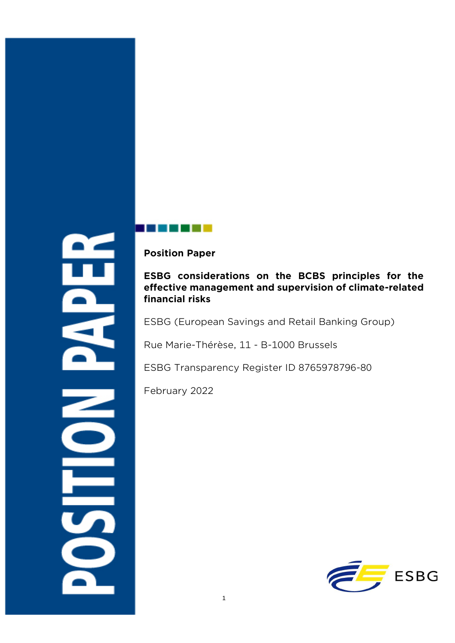5

**Position Paper**

## **ESBG considerations on the BCBS principles for the effective management and supervision of climate-related financial risks**

ESBG (European Savings and Retail Banking Group)

Rue Marie-Thérèse, 11 - B-1000 Brussels

ESBG Transparency Register ID 8765978796-80

February 2022